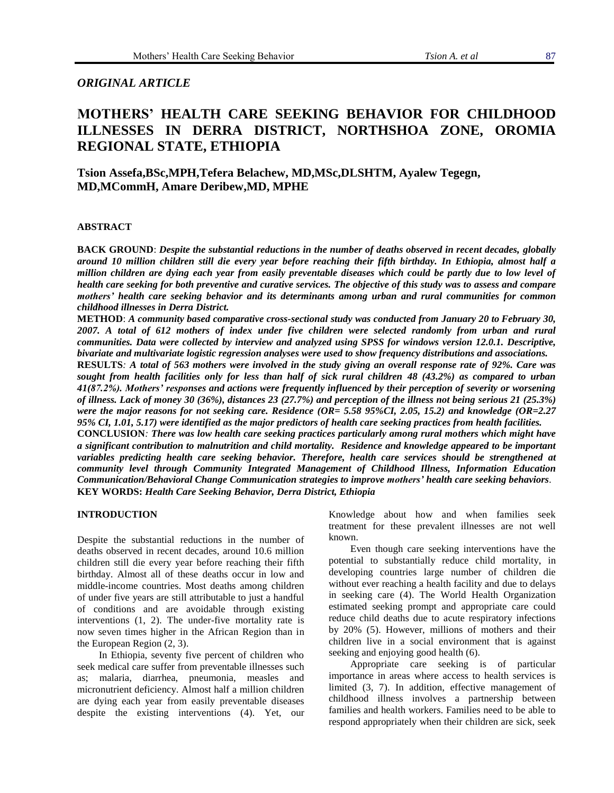# *ORIGINAL ARTICLE*

# **MOTHERS' HEALTH CARE SEEKING BEHAVIOR FOR CHILDHOOD ILLNESSES IN DERRA DISTRICT, NORTHSHOA ZONE, OROMIA REGIONAL STATE, ETHIOPIA**

**Tsion Assefa,BSc,MPH,Tefera Belachew, MD,MSc,DLSHTM, Ayalew Tegegn, MD,MCommH, Amare Deribew,MD, MPHE**

## **ABSTRACT**

**BACK GROUND**: *Despite the substantial reductions in the number of deaths observed in recent decades, globally around 10 million children still die every year before reaching their fifth birthday. In Ethiopia, almost half a million children are dying each year from easily preventable diseases which could be partly due to low level of health care seeking for both preventive and curative services. The objective of this study was to assess and compare mothers' health care seeking behavior and its determinants among urban and rural communities for common childhood illnesses in Derra District.*

**METHOD**: *A community based comparative cross-sectional study was conducted from January 20 to February 30, 2007. A total of 612 mothers of index under five children were selected randomly from urban and rural communities. Data were collected by interview and analyzed using SPSS for windows version 12.0.1. Descriptive, bivariate and multivariate logistic regression analyses were used to show frequency distributions and associations.*

**RESULTS***: A total of 563 mothers were involved in the study giving an overall response rate of 92%. Care was sought from health facilities only for less than half of sick rural children 48 (43.2%) as compared to urban 41(87.2%). Mothers' responses and actions were frequently influenced by their perception of severity or worsening of illness. Lack of money 30 (36%), distances 23 (27.7%) and perception of the illness not being serious 21 (25.3%) were the major reasons for not seeking care. Residence (OR= 5.58 95%CI, 2.05, 15.2) and knowledge (OR=2.27 95% CI, 1.01, 5.17) were identified as the major predictors of health care seeking practices from health facilities.*

**CONCLUSION***: There was low health care seeking practices particularly among rural mothers which might have a significant contribution to malnutrition and child mortality. Residence and knowledge appeared to be important variables predicting health care seeking behavior. Therefore, health care services should be strengthened at community level through Community Integrated Management of Childhood Illness, Information Education Communication/Behavioral Change Communication strategies to improve mothers' health care seeking behaviors*. **KEY WORDS:** *Health Care Seeking Behavior, Derra District, Ethiopia*

#### **INTRODUCTION**

Despite the substantial reductions in the number of deaths observed in recent decades, around 10.6 million children still die every year before reaching their fifth birthday. Almost all of these deaths occur in low and middle-income countries. Most deaths among children of under five years are still attributable to just a handful of conditions and are avoidable through existing interventions (1, 2). The under-five mortality rate is now seven times higher in the African Region than in the European Region (2, 3).

In Ethiopia, seventy five percent of children who seek medical care suffer from preventable illnesses such as; malaria, diarrhea, pneumonia, measles and micronutrient deficiency. Almost half a million children are dying each year from easily preventable diseases despite the existing interventions (4). Yet, our Knowledge about how and when families seek treatment for these prevalent illnesses are not well known.

Even though care seeking interventions have the potential to substantially reduce child mortality, in developing countries large number of children die without ever reaching a health facility and due to delays in seeking care (4). The World Health Organization estimated seeking prompt and appropriate care could reduce child deaths due to acute respiratory infections by 20% (5). However, millions of mothers and their children live in a social environment that is against seeking and enjoying good health (6).

Appropriate care seeking is of particular importance in areas where access to health services is limited (3, 7). In addition, effective management of childhood illness involves a partnership between families and health workers. Families need to be able to respond appropriately when their children are sick, seek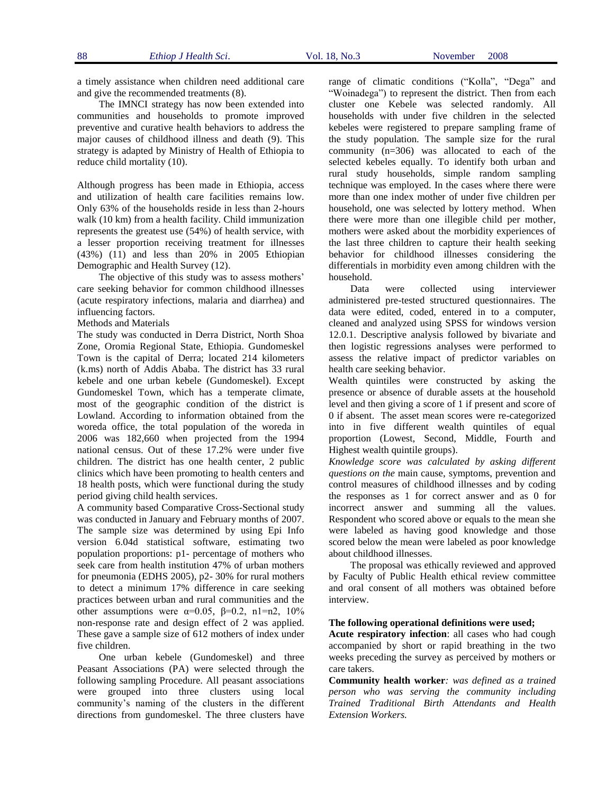a timely assistance when children need additional care and give the recommended treatments (8).

The IMNCI strategy has now been extended into communities and households to promote improved preventive and curative health behaviors to address the major causes of childhood illness and death (9). This strategy is adapted by Ministry of Health of Ethiopia to reduce child mortality (10).

Although progress has been made in Ethiopia, access and utilization of health care facilities remains low. Only 63% of the households reside in less than 2-hours walk (10 km) from a health facility. Child immunization represents the greatest use (54%) of health service, with a lesser proportion receiving treatment for illnesses (43%) (11) and less than 20% in 2005 Ethiopian Demographic and Health Survey (12).

The objective of this study was to assess mothers' care seeking behavior for common childhood illnesses (acute respiratory infections, malaria and diarrhea) and influencing factors.

Methods and Materials

The study was conducted in Derra District, North Shoa Zone, Oromia Regional State, Ethiopia. Gundomeskel Town is the capital of Derra; located 214 kilometers (k.ms) north of Addis Ababa. The district has 33 rural kebele and one urban kebele (Gundomeskel). Except Gundomeskel Town, which has a temperate climate, most of the geographic condition of the district is Lowland. According to information obtained from the woreda office, the total population of the woreda in 2006 was 182,660 when projected from the 1994 national census. Out of these 17.2% were under five children. The district has one health center, 2 public clinics which have been promoting to health centers and 18 health posts, which were functional during the study period giving child health services.

A community based Comparative Cross-Sectional study was conducted in January and February months of 2007. The sample size was determined by using Epi Info version 6.04d statistical software, estimating two population proportions: p1- percentage of mothers who seek care from health institution 47% of urban mothers for pneumonia (EDHS 2005), p2- 30% for rural mothers to detect a minimum 17% difference in care seeking practices between urban and rural communities and the other assumptions were  $\alpha=0.05$ ,  $\beta=0.2$ ,  $n1=n2$ ,  $10\%$ non-response rate and design effect of 2 was applied. These gave a sample size of 612 mothers of index under five children.

One urban kebele (Gundomeskel) and three Peasant Associations (PA) were selected through the following sampling Procedure. All peasant associations were grouped into three clusters using local community's naming of the clusters in the different directions from gundomeskel. The three clusters have

range of climatic conditions ("Kolla", "Dega" and "Woinadega") to represent the district. Then from each cluster one Kebele was selected randomly. All households with under five children in the selected kebeles were registered to prepare sampling frame of the study population. The sample size for the rural community (n=306) was allocated to each of the selected kebeles equally. To identify both urban and rural study households, simple random sampling technique was employed. In the cases where there were more than one index mother of under five children per household, one was selected by lottery method. When there were more than one illegible child per mother, mothers were asked about the morbidity experiences of the last three children to capture their health seeking behavior for childhood illnesses considering the differentials in morbidity even among children with the household.

Data were collected using interviewer administered pre-tested structured questionnaires. The data were edited, coded, entered in to a computer, cleaned and analyzed using SPSS for windows version 12.0.1. Descriptive analysis followed by bivariate and then logistic regressions analyses were performed to assess the relative impact of predictor variables on health care seeking behavior.

Wealth quintiles were constructed by asking the presence or absence of durable assets at the household level and then giving a score of 1 if present and score of 0 if absent. The asset mean scores were re-categorized into in five different wealth quintiles of equal proportion (Lowest, Second, Middle, Fourth and Highest wealth quintile groups).

*Knowledge score was calculated by asking different questions on the* main cause, symptoms, prevention and control measures of childhood illnesses and by coding the responses as 1 for correct answer and as 0 for incorrect answer and summing all the values. Respondent who scored above or equals to the mean she were labeled as having good knowledge and those scored below the mean were labeled as poor knowledge about childhood illnesses.

The proposal was ethically reviewed and approved by Faculty of Public Health ethical review committee and oral consent of all mothers was obtained before interview.

#### **The following operational definitions were used;**

**Acute respiratory infection**: all cases who had cough accompanied by short or rapid breathing in the two weeks preceding the survey as perceived by mothers or care takers.

**Community health worker***: was defined as a trained person who was serving the community including Trained Traditional Birth Attendants and Health Extension Workers.*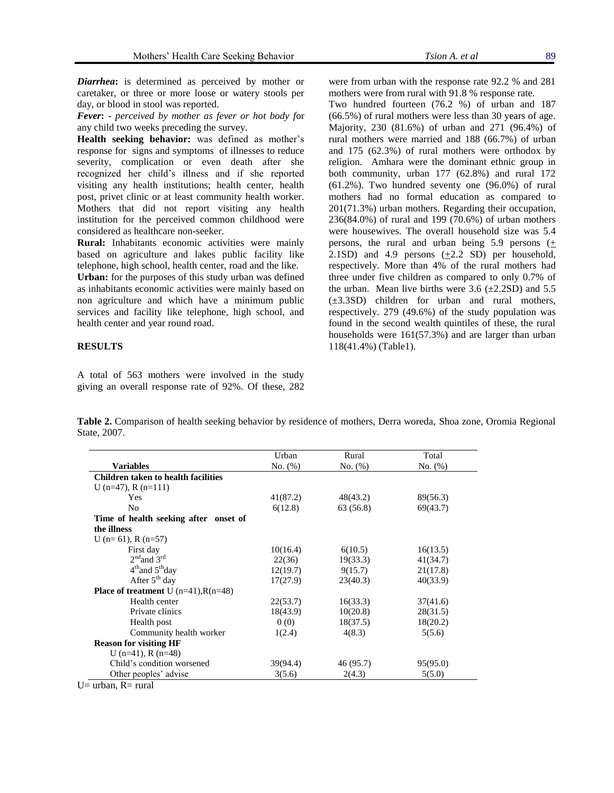*Diarrhea***:** is determined as perceived by mother or caretaker, or three or more loose or watery stools per

day, or blood in stool was reported. *Fever***:** - *perceived by mother as fever or hot body f*or

any child two weeks preceding the survey.

**Health seeking behavior:** was defined as mother's response for signs and symptoms of illnesses to reduce severity, complication or even death after she recognized her child's illness and if she reported visiting any health institutions; health center, health post, privet clinic or at least community health worker. Mothers that did not report visiting any health institution for the perceived common childhood were considered as healthcare non-seeker.

**Rural:** Inhabitants economic activities were mainly based on agriculture and lakes public facility like telephone, high school, health center, road and the like.

**Urban:** for the purposes of this study urban was defined as inhabitants economic activities were mainly based on non agriculture and which have a minimum public services and facility like telephone, high school, and health center and year round road.

# **RESULTS**

A total of 563 mothers were involved in the study giving an overall response rate of 92%. Of these, 282

**Table 2.** Comparison of health seeking behavior by residence of mothers, Derra woreda, Shoa zone, Oromia Regional State, 2007.

|                                                  | Urban    | Rural     | Total    |  |
|--------------------------------------------------|----------|-----------|----------|--|
| <b>Variables</b>                                 | No. (%)  | No. (%)   | No. (%)  |  |
| <b>Children taken to health facilities</b>       |          |           |          |  |
| U (n=47), R (n=111)                              |          |           |          |  |
| Yes                                              | 41(87.2) | 48(43.2)  | 89(56.3) |  |
| N <sub>0</sub>                                   | 6(12.8)  | 63 (56.8) | 69(43.7) |  |
| Time of health seeking after onset of            |          |           |          |  |
| the illness                                      |          |           |          |  |
| U (n= 61), R (n=57)                              |          |           |          |  |
| First day                                        | 10(16.4) | 6(10.5)   | 16(13.5) |  |
| $2nd$ and $3rd$                                  | 22(36)   | 19(33.3)  | 41(34.7) |  |
| $4th$ and $5th$ day                              | 12(19.7) | 9(15.7)   | 21(17.8) |  |
| After $5th$ day                                  | 17(27.9) | 23(40.3)  | 40(33.9) |  |
| <b>Place of treatment</b> U $(n=41)$ , $R(n=48)$ |          |           |          |  |
| Health center                                    | 22(53.7) | 16(33.3)  | 37(41.6) |  |
| Private clinics                                  | 18(43.9) | 10(20.8)  | 28(31.5) |  |
| Health post                                      | 0(0)     | 18(37.5)  | 18(20.2) |  |
| Community health worker                          | 1(2.4)   | 4(8.3)    | 5(5.6)   |  |
| <b>Reason for visiting HF</b>                    |          |           |          |  |
| $U(n=41)$ , R $(n=48)$                           |          |           |          |  |
| Child's condition worsened                       | 39(94.4) | 46 (95.7) | 95(95.0) |  |
| Other peoples' advise                            | 3(5.6)   | 2(4.3)    | 5(5.0)   |  |
| $U=$ urban, $R=$ rural                           |          |           |          |  |

were from urban with the response rate 92.2 % and 281 mothers were from rural with 91.8 % response rate.

Two hundred fourteen (76.2 %) of urban and 187 (66.5%) of rural mothers were less than 30 years of age. Majority, 230 (81.6%) of urban and 271 (96.4%) of rural mothers were married and 188 (66.7%) of urban and 175 (62.3%) of rural mothers were orthodox by religion. Amhara were the dominant ethnic group in both community, urban 177 (62.8%) and rural 172 (61.2%). Two hundred seventy one (96.0%) of rural mothers had no formal education as compared to 201(71.3%) urban mothers. Regarding their occupation, 236(84.0%) of rural and 199 (70.6%) of urban mothers were housewives. The overall household size was 5.4 persons, the rural and urban being 5.9 persons (+ 2.1SD) and 4.9 persons  $(+2.2$  SD) per household, respectively. More than 4% of the rural mothers had three under five children as compared to only 0.7% of the urban. Mean live births were  $3.6$  ( $\pm$ 2.2SD) and  $5.5$ (±3.3SD) children for urban and rural mothers, respectively. 279 (49.6%) of the study population was found in the second wealth quintiles of these, the rural households were 161(57.3%) and are larger than urban 118(41.4%) (Table1).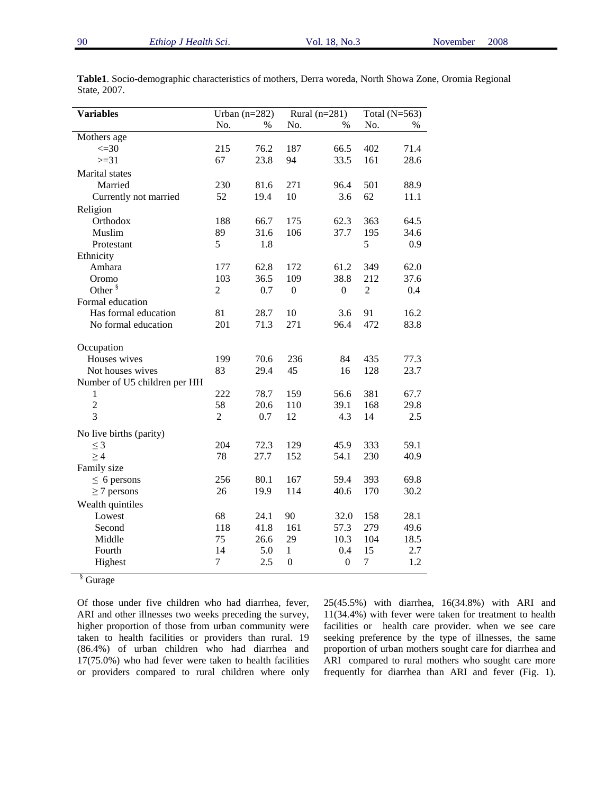| <b>Variables</b>             | Urban $(n=282)$ |      | Rural $(n=281)$  |                  | Total $(N=563)$ |      |
|------------------------------|-----------------|------|------------------|------------------|-----------------|------|
|                              | No.             | $\%$ | No.              | $\%$             | No.             | $\%$ |
| Mothers age                  |                 |      |                  |                  |                 |      |
| $\leq 30$                    | 215             | 76.2 | 187              | 66.5             | 402             | 71.4 |
| $>=31$                       | 67              | 23.8 | 94               | 33.5             | 161             | 28.6 |
| <b>Marital</b> states        |                 |      |                  |                  |                 |      |
| Married                      | 230             | 81.6 | 271              | 96.4             | 501             | 88.9 |
| Currently not married        | 52              | 19.4 | 10               | 3.6              | 62              | 11.1 |
| Religion                     |                 |      |                  |                  |                 |      |
| Orthodox                     | 188             | 66.7 | 175              | 62.3             | 363             | 64.5 |
| Muslim                       | 89              | 31.6 | 106              | 37.7             | 195             | 34.6 |
| Protestant                   | 5               | 1.8  |                  |                  | 5               | 0.9  |
| Ethnicity                    |                 |      |                  |                  |                 |      |
| Amhara                       | 177             | 62.8 | 172              | 61.2             | 349             | 62.0 |
| Oromo                        | 103             | 36.5 | 109              | 38.8             | 212             | 37.6 |
| Other $\frac{8}{3}$          | $\overline{2}$  | 0.7  | $\boldsymbol{0}$ | $\boldsymbol{0}$ | $\overline{2}$  | 0.4  |
| Formal education             |                 |      |                  |                  |                 |      |
| Has formal education         | 81              | 28.7 | 10               | 3.6              | 91              | 16.2 |
| No formal education          | 201             | 71.3 | 271              | 96.4             | 472             | 83.8 |
| Occupation                   |                 |      |                  |                  |                 |      |
| Houses wives                 | 199             | 70.6 | 236              | 84               | 435             | 77.3 |
| Not houses wives             | 83              | 29.4 | 45               | 16               | 128             | 23.7 |
| Number of U5 children per HH |                 |      |                  |                  |                 |      |
| 1                            | 222             | 78.7 | 159              | 56.6             | 381             | 67.7 |
| $\overline{2}$               | 58              | 20.6 | 110              | 39.1             | 168             | 29.8 |
| $\overline{3}$               | $\overline{2}$  | 0.7  | 12               | 4.3              | 14              | 2.5  |
| No live births (parity)      |                 |      |                  |                  |                 |      |
| $\leq$ 3                     | 204             | 72.3 | 129              | 45.9             | 333             | 59.1 |
| $\geq 4$                     | 78              | 27.7 | 152              | 54.1             | 230             | 40.9 |
| Family size                  |                 |      |                  |                  |                 |      |
| $\leq 6$ persons             | 256             | 80.1 | 167              | 59.4             | 393             | 69.8 |
| $\geq$ 7 persons             | 26              | 19.9 | 114              | 40.6             | 170             | 30.2 |
| Wealth quintiles             |                 |      |                  |                  |                 |      |
| Lowest                       | 68              | 24.1 | 90               | 32.0             | 158             | 28.1 |
| Second                       | 118             | 41.8 | 161              | 57.3             | 279             | 49.6 |
| Middle                       | 75              | 26.6 | 29               | 10.3             | 104             | 18.5 |
| Fourth                       | 14              | 5.0  | 1                | 0.4              | 15              | 2.7  |
| Highest                      | 7               | 2.5  | $\boldsymbol{0}$ | $\boldsymbol{0}$ | $\tau$          | 1.2  |
|                              |                 |      |                  |                  |                 |      |

**Table1**. Socio-demographic characteristics of mothers, Derra woreda, North Showa Zone, Oromia Regional State, 2007.

§ Gurage

Of those under five children who had diarrhea, fever, ARI and other illnesses two weeks preceding the survey, higher proportion of those from urban community were taken to health facilities or providers than rural. 19 (86.4%) of urban children who had diarrhea and 17(75.0%) who had fever were taken to health facilities or providers compared to rural children where only 25(45.5%) with diarrhea, 16(34.8%) with ARI and 11(34.4%) with fever were taken for treatment to health facilities or health care provider. when we see care seeking preference by the type of illnesses, the same proportion of urban mothers sought care for diarrhea and ARI compared to rural mothers who sought care more frequently for diarrhea than ARI and fever (Fig. 1).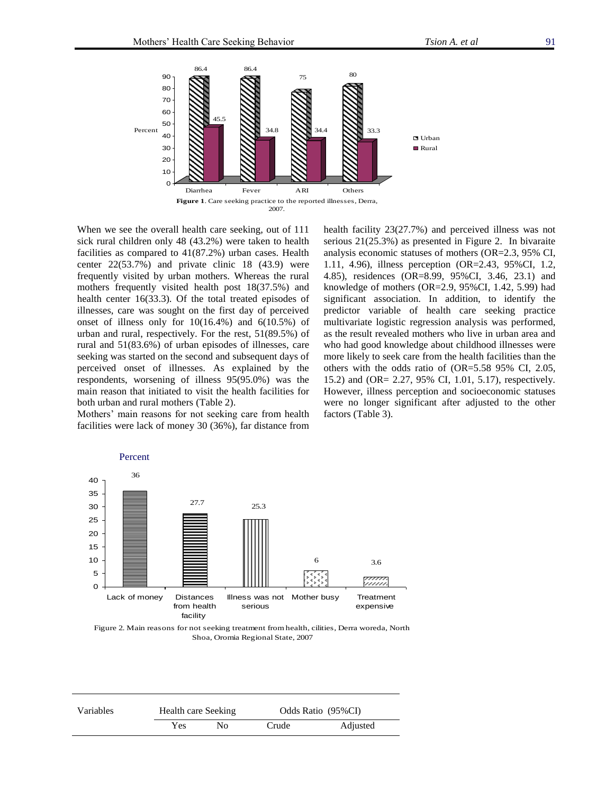

When we see the overall health care seeking, out of 111 sick rural children only 48 (43.2%) were taken to health facilities as compared to 41(87.2%) urban cases. Health center 22(53.7%) and private clinic 18 (43.9) were frequently visited by urban mothers. Whereas the rural mothers frequently visited health post 18(37.5%) and health center 16(33.3). Of the total treated episodes of illnesses, care was sought on the first day of perceived onset of illness only for 10(16.4%) and 6(10.5%) of urban and rural, respectively. For the rest, 51(89.5%) of rural and 51(83.6%) of urban episodes of illnesses, care seeking was started on the second and subsequent days of perceived onset of illnesses. As explained by the respondents, worsening of illness 95(95.0%) was the main reason that initiated to visit the health facilities for both urban and rural mothers (Table 2).

Mothers' main reasons for not seeking care from health facilities were lack of money 30 (36%), far distance from health facility 23(27.7%) and perceived illness was not serious 21(25.3%) as presented in Figure 2. In bivaraite analysis economic statuses of mothers (OR=2.3, 95% CI, 1.11, 4.96), illness perception (OR=2.43, 95%CI, 1.2, 4.85), residences (OR=8.99, 95%CI, 3.46, 23.1) and knowledge of mothers (OR=2.9, 95%CI, 1.42, 5.99) had significant association. In addition, to identify the predictor variable of health care seeking practice multivariate logistic regression analysis was performed, as the result revealed mothers who live in urban area and who had good knowledge about childhood illnesses were more likely to seek care from the health facilities than the others with the odds ratio of (OR=5.58 95% CI, 2.05, 15.2) and (OR= 2.27, 95% CI, 1.01, 5.17), respectively. However, illness perception and socioeconomic statuses were no longer significant after adjusted to the other factors (Table 3).



Figure 2. Main reasons for not seeking treatment from health, cilities, Derra woreda, North Shoa, Oromia Regional State, 2007

| Variables | Health care Seeking |    | Odds Ratio (95%CI) |          |  |
|-----------|---------------------|----|--------------------|----------|--|
|           | Yes                 | Nο | Crude              | Adjusted |  |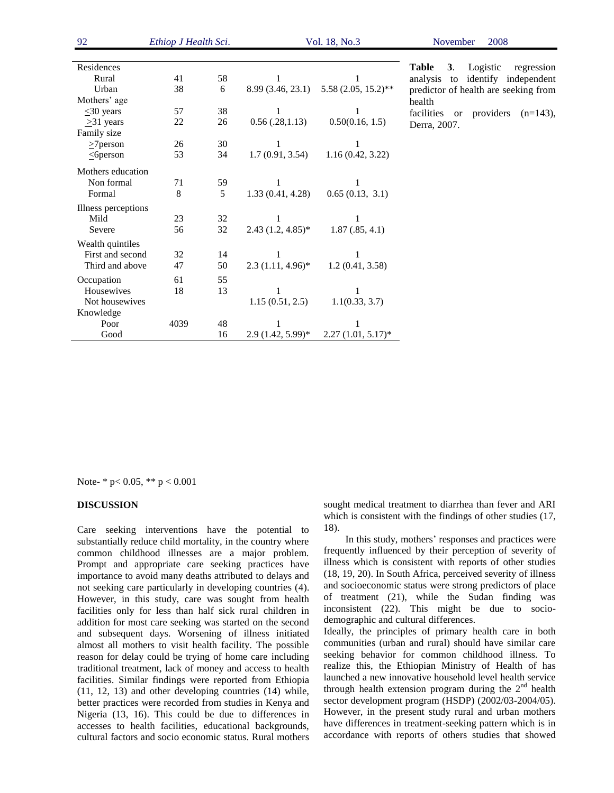| 92                  | Ethiop J Health Sci. |    | Vol. 18, No.3       |                                       | 2008<br>November                    |  |
|---------------------|----------------------|----|---------------------|---------------------------------------|-------------------------------------|--|
| Residences          |                      |    |                     |                                       | Table<br>3 <sub>1</sub><br>Logistic |  |
| Rural               | 41                   | 58 | 1                   | 1                                     | analysis to identify                |  |
| Urban               | 38                   | 6  |                     | 8.99 (3.46, 23.1) 5.58 (2.05, 15.2)** | predictor of health are so          |  |
| Mothers' age        |                      |    |                     |                                       | health                              |  |
| $\leq 30$ years     | 57                   | 38 | 1                   | 1                                     | facilities<br>or provider           |  |
| $\geq$ 31 years     | 22                   | 26 | 0.56(.28,1.13)      | 0.50(0.16, 1.5)                       | Derra, 2007.                        |  |
| Family size         |                      |    |                     |                                       |                                     |  |
| $\geq$ 7 person     | 26                   | 30 | 1                   | 1                                     |                                     |  |
| $\leq$ 6 person     | 53                   | 34 | 1.7(0.91, 3.54)     | 1.16(0.42, 3.22)                      |                                     |  |
| Mothers education   |                      |    |                     |                                       |                                     |  |
| Non formal          | 71                   | 59 |                     | 1                                     |                                     |  |
| Formal              | 8                    | 5  | 1.33(0.41, 4.28)    | 0.65(0.13, 3.1)                       |                                     |  |
| Illness perceptions |                      |    |                     |                                       |                                     |  |
| Mild                | 23                   | 32 |                     |                                       |                                     |  |
| Severe              | 56                   | 32 | $2.43(1.2, 4.85)^*$ | 1.87(.85, 4.1)                        |                                     |  |
| Wealth quintiles    |                      |    |                     |                                       |                                     |  |
| First and second    | 32                   | 14 | 1                   |                                       |                                     |  |
| Third and above     | 47                   | 50 | $2.3(1.11, 4.96)^*$ | 1.2(0.41, 3.58)                       |                                     |  |
| Occupation          | 61                   | 55 |                     |                                       |                                     |  |
| Housewives          | 18                   | 13 | 1                   | 1                                     |                                     |  |
| Not housewives      |                      |    | 1.15(0.51, 2.5)     | 1.1(0.33, 3.7)                        |                                     |  |
| Knowledge           |                      |    |                     |                                       |                                     |  |
| Poor                | 4039                 | 48 |                     |                                       |                                     |  |
| Good                |                      | 16 | $2.9(1.42, 5.99)$ * | $2.27(1.01, 5.17)^*$                  |                                     |  |

**Table 3**. Logistic regression lysis to identify independent lictor of health are seeking from lth lities or providers  $(n=143)$ ,

Note- \* p< 0.05, \*\* p < 0.001

#### **DISCUSSION**

Care seeking interventions have the potential to substantially reduce child mortality, in the country where common childhood illnesses are a major problem. Prompt and appropriate care seeking practices have importance to avoid many deaths attributed to delays and not seeking care particularly in developing countries (4). However, in this study, care was sought from health facilities only for less than half sick rural children in addition for most care seeking was started on the second and subsequent days. Worsening of illness initiated almost all mothers to visit health facility. The possible reason for delay could be trying of home care including traditional treatment, lack of money and access to health facilities. Similar findings were reported from Ethiopia (11, 12, 13) and other developing countries (14) while, better practices were recorded from studies in Kenya and Nigeria (13, 16). This could be due to differences in accesses to health facilities, educational backgrounds, cultural factors and socio economic status. Rural mothers sought medical treatment to diarrhea than fever and ARI which is consistent with the findings of other studies (17, 18).

In this study, mothers' responses and practices were frequently influenced by their perception of severity of illness which is consistent with reports of other studies (18, 19, 20). In South Africa, perceived severity of illness and socioeconomic status were strong predictors of place of treatment (21), while the Sudan finding was inconsistent (22). This might be due to sociodemographic and cultural differences.

Ideally, the principles of primary health care in both communities (urban and rural) should have similar care seeking behavior for common childhood illness. To realize this, the Ethiopian Ministry of Health of has launched a new innovative household level health service through health extension program during the  $2<sup>nd</sup>$  health sector development program (HSDP) (2002/03-2004/05). However, in the present study rural and urban mothers have differences in treatment-seeking pattern which is in accordance with reports of others studies that showed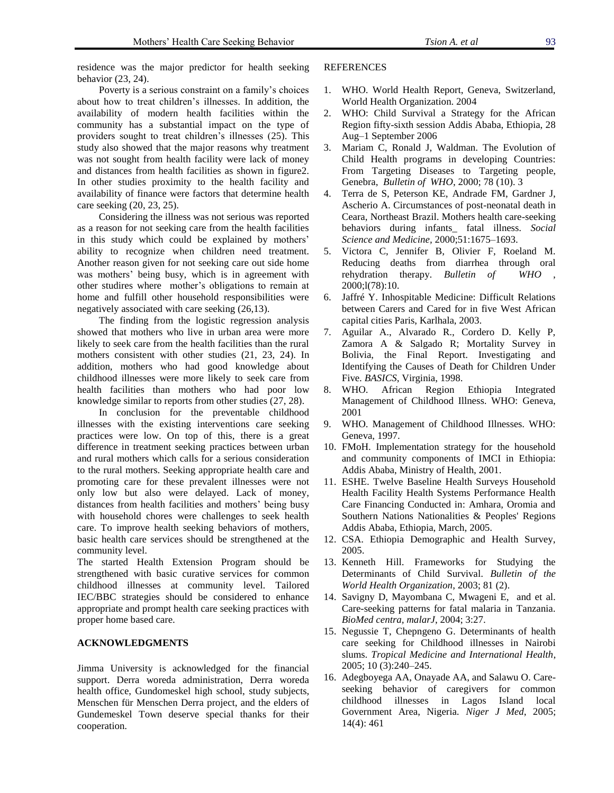residence was the major predictor for health seeking behavior (23, 24).

Poverty is a serious constraint on a family's choices about how to treat children's illnesses. In addition, the availability of modern health facilities within the community has a substantial impact on the type of providers sought to treat children's illnesses (25). This study also showed that the major reasons why treatment was not sought from health facility were lack of money and distances from health facilities as shown in figure2. In other studies proximity to the health facility and availability of finance were factors that determine health care seeking (20, 23, 25).

Considering the illness was not serious was reported as a reason for not seeking care from the health facilities in this study which could be explained by mothers' ability to recognize when children need treatment. Another reason given for not seeking care out side home was mothers' being busy, which is in agreement with other studires where mother's obligations to remain at home and fulfill other household responsibilities were negatively associated with care seeking (26,13).

The finding from the logistic regression analysis showed that mothers who live in urban area were more likely to seek care from the health facilities than the rural mothers consistent with other studies (21, 23, 24). In addition, mothers who had good knowledge about childhood illnesses were more likely to seek care from health facilities than mothers who had poor low knowledge similar to reports from other studies (27, 28).

In conclusion for the preventable childhood illnesses with the existing interventions care seeking practices were low. On top of this, there is a great difference in treatment seeking practices between urban and rural mothers which calls for a serious consideration to the rural mothers. Seeking appropriate health care and promoting care for these prevalent illnesses were not only low but also were delayed. Lack of money, distances from health facilities and mothers' being busy with household chores were challenges to seek health care. To improve health seeking behaviors of mothers, basic health care services should be strengthened at the community level.

The started Health Extension Program should be strengthened with basic curative services for common childhood illnesses at community level. Tailored IEC/BBC strategies should be considered to enhance appropriate and prompt health care seeking practices with proper home based care.

## **ACKNOWLEDGMENTS**

Jimma University is acknowledged for the financial support. Derra woreda administration, Derra woreda health office, Gundomeskel high school, study subjects, Menschen für Menschen Derra project, and the elders of Gundemeskel Town deserve special thanks for their cooperation.

### **REFERENCES**

- 1. WHO. World Health Report, Geneva, Switzerland, World Health Organization. 2004
- 2. WHO: Child Survival a Strategy for the African Region fifty-sixth session Addis Ababa, Ethiopia, 28 Aug–1 September 2006
- 3. Mariam C, Ronald J, Waldman. The Evolution of Child Health programs in developing Countries: From Targeting Diseases to Targeting people, Genebra, *Bulletin of WHO*, 2000; 78 (10). 3
- 4. Terra de S, Peterson KE, Andrade FM, Gardner J, Ascherio A. Circumstances of post-neonatal death in Ceara, Northeast Brazil. Mothers health care-seeking behaviors during infants\_ fatal illness. *Social Science and Medicine,* 2000;51:1675–1693.
- 5. Victora C, Jennifer B, Olivier F, Roeland M. Reducing deaths from diarrhea through oral rehydration therapy. *Bulletin of WHO* , 2000;l(78):10.
- 6. Jaffré Y. Inhospitable Medicine: Difficult Relations between Carers and Cared for in five West African capital cities Paris, Karlhala, 2003.
- 7. Aguilar A., Alvarado R., Cordero D. Kelly P, Zamora A & Salgado R; Mortality Survey in Bolivia, the Final Report. Investigating and Identifying the Causes of Death for Children Under Five. *BASICS*, Virginia, 1998.
- 8. WHO. African Region Ethiopia Integrated Management of Childhood Illness. WHO: Geneva, 2001
- 9. WHO. Management of Childhood Illnesses. WHO: Geneva, 1997.
- 10. FMoH. Implementation strategy for the household and community components of IMCI in Ethiopia: Addis Ababa, Ministry of Health, 2001.
- 11. ESHE. Twelve Baseline Health Surveys Household Health Facility Health Systems Performance Health Care Financing Conducted in: Amhara, Oromia and Southern Nations Nationalities & Peoples' Regions Addis Ababa, Ethiopia, March, 2005.
- 12. CSA. Ethiopia Demographic and Health Survey, 2005.
- 13. Kenneth Hill. Frameworks for Studying the Determinants of Child Survival. *Bulletin of the World Health Organization*, 2003; 81 (2).
- 14. Savigny D, Mayombana C, Mwageni E, and et al. Care-seeking patterns for fatal malaria in Tanzania. *BioMed centra, malarJ*, 2004; 3:27.
- 15. Negussie T, Chepngeno G. Determinants of health care seeking for Childhood illnesses in Nairobi slums. *Tropical Medicine and International Health*, 2005; 10 (3):240–245.
- 16. Adegboyega AA, Onayade AA, and Salawu O. Careseeking behavior of caregivers for common childhood illnesses in Lagos Island local Government Area, Nigeria. *Niger J Med*, 2005; 14(4): 461